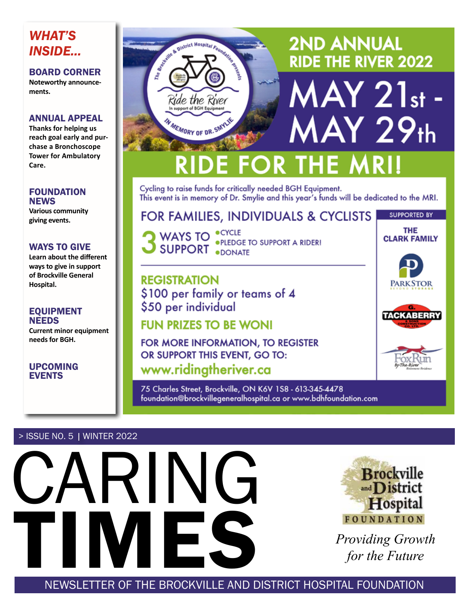### *WHAT'S INSIDE...*

BOARD CORNER **Noteworthy announcements.**

### ANNUAL APPEAL

**Thanks for helping us reach goal early and purchase a Bronchoscope Tower for Ambulatory Care.**

### FOUNDATION **NEWS**

**Various community giving events.**

### WAYS TO GIVE

**Learn about the different ways to give in support of Brockville General Hospital.**

### EQUIPMENT NEEDS

**Current minor equipment needs for BGH.**

UPCOMING EVENTS



Cycling to raise funds for critically needed BGH Equipment. This event is in memory of Dr. Smylie and this year's funds will be dedicated to the MRI.

### FOR FAMILIES, INDIVIDUALS & CYCLISTS

WAYS TO <sup>OCYCLE</sup><br>SLIPPORT OF LEDGE TO SUPPORT A RIDER! **SUPPORT .DONATE** 

**REGISTRATION** \$100 per family or teams of 4 \$50 per individual

### **FUN PRIZES TO BE WONI**

FOR MORE INFORMATION, TO REGISTER OR SUPPORT THIS EVENT, GO TO: www.ridingtheriver.ca

75 Charles Street, Brockville, ON K6V 1S8 - 613-345-4478 foundation@brockvillegeneralhospital.ca or www.bdhfoundation.com

### > ISSUE NO. 5 | WINTER 2022





SUPPORTED BY **THE CLARK FAMILY** 



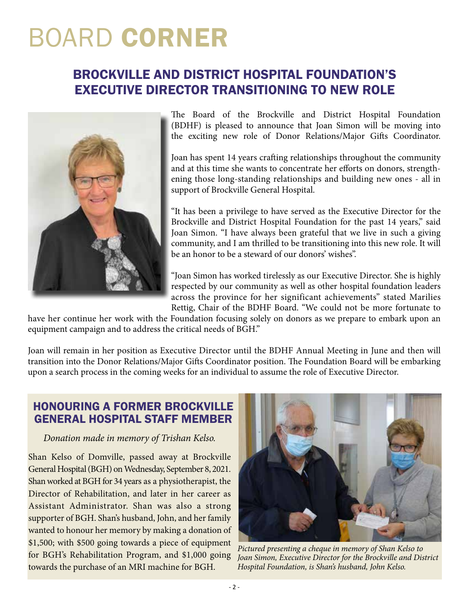## BOARD CORNER

### BROCKVILLE AND DISTRICT HOSPITAL FOUNDATION'S EXECUTIVE DIRECTOR TRANSITIONING TO NEW ROLE



The Board of the Brockville and District Hospital Foundation (BDHF) is pleased to announce that Joan Simon will be moving into the exciting new role of Donor Relations/Major Gifts Coordinator.

Joan has spent 14 years crafting relationships throughout the community and at this time she wants to concentrate her efforts on donors, strengthening those long-standing relationships and building new ones - all in support of Brockville General Hospital.

"It has been a privilege to have served as the Executive Director for the Brockville and District Hospital Foundation for the past 14 years," said Joan Simon. "I have always been grateful that we live in such a giving community, and I am thrilled to be transitioning into this new role. It will be an honor to be a steward of our donors' wishes".

"Joan Simon has worked tirelessly as our Executive Director. She is highly respected by our community as well as other hospital foundation leaders across the province for her significant achievements" stated Marilies Rettig, Chair of the BDHF Board. "We could not be more fortunate to

have her continue her work with the Foundation focusing solely on donors as we prepare to embark upon an equipment campaign and to address the critical needs of BGH."

Joan will remain in her position as Executive Director until the BDHF Annual Meeting in June and then will transition into the Donor Relations/Major Gifts Coordinator position. The Foundation Board will be embarking upon a search process in the coming weeks for an individual to assume the role of Executive Director.

### HONOURING A FORMER BROCKVILLE GENERAL HOSPITAL STAFF MEMBER

### *Donation made in memory of Trishan Kelso.*

Shan Kelso of Domville, passed away at Brockville General Hospital (BGH) on Wednesday, September 8, 2021. Shan worked at BGH for 34 years as a physiotherapist, the Director of Rehabilitation, and later in her career as Assistant Administrator. Shan was also a strong supporter of BGH. Shan's husband, John, and her family wanted to honour her memory by making a donation of \$1,500; with \$500 going towards a piece of equipment for BGH's Rehabilitation Program, and \$1,000 going towards the purchase of an MRI machine for BGH.



*Pictured presenting a cheque in memory of Shan Kelso to Joan Simon, Executive Director for the Brockville and District Hospital Foundation, is Shan's husband, John Kelso.*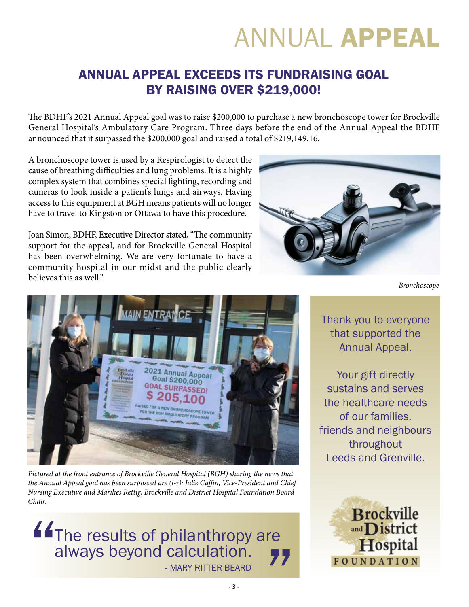## ANNUAL APPEAL

### ANNUAL APPEAL EXCEEDS ITS FUNDRAISING GOAL BY RAISING OVER \$219,000!

The BDHF's 2021 Annual Appeal goal was to raise \$200,000 to purchase a new bronchoscope tower for Brockville General Hospital's Ambulatory Care Program. Three days before the end of the Annual Appeal the BDHF announced that it surpassed the \$200,000 goal and raised a total of \$219,149.16.

A bronchoscope tower is used by a Respirologist to detect the cause of breathing difficulties and lung problems. It is a highly complex system that combines special lighting, recording and cameras to look inside a patient's lungs and airways. Having access to this equipment at BGH means patients will no longer have to travel to Kingston or Ottawa to have this procedure.

Joan Simon, BDHF, Executive Director stated, "The community support for the appeal, and for Brockville General Hospital has been overwhelming. We are very fortunate to have a community hospital in our midst and the public clearly believes this as well."





*Pictured at the front entrance of Brockville General Hospital (BGH) sharing the news that the Annual Appeal goal has been surpassed are (l-r): Julie Caffin, Vice-President and Chief Nursing Executive and Marilies Rettig, Brockville and District Hospital Foundation Board Chair.* 

е<br>22 The results of philanthropy are always beyond calculation. The results of philanthropy<br>always beyond calculation.

*Bronchoscope*

Thank you to everyone that supported the Annual Appeal.

Your gift directly sustains and serves the healthcare needs of our families, friends and neighbours throughout Leeds and Grenville.

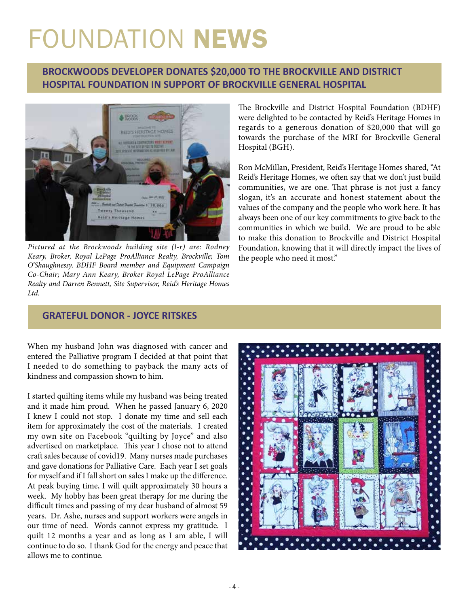# FOUNDATION NEWS

### **BROCKWOODS DEVELOPER DONATES \$20,000 TO THE BROCKVILLE AND DISTRICT HOSPITAL FOUNDATION IN SUPPORT OF BROCKVILLE GENERAL HOSPITAL**



*Pictured at the Brockwoods building site (l-r) are: Rodney Keary, Broker, Royal LePage ProAlliance Realty, Brockville; Tom O'Shaughnessy, BDHF Board member and Equipment Campaign Co-Chair; Mary Ann Keary, Broker Royal LePage ProAlliance Realty and Darren Bennett, Site Supervisor, Reid's Heritage Homes Ltd.*

The Brockville and District Hospital Foundation (BDHF) were delighted to be contacted by Reid's Heritage Homes in regards to a generous donation of \$20,000 that will go towards the purchase of the MRI for Brockville General Hospital (BGH).

Ron McMillan, President, Reid's Heritage Homes shared, "At Reid's Heritage Homes, we often say that we don't just build communities, we are one. That phrase is not just a fancy slogan, it's an accurate and honest statement about the values of the company and the people who work here. It has always been one of our key commitments to give back to the communities in which we build. We are proud to be able to make this donation to Brockville and District Hospital Foundation, knowing that it will directly impact the lives of the people who need it most."

### **GRATEFUL DONOR - JOYCE RITSKES**

When my husband John was diagnosed with cancer and entered the Palliative program I decided at that point that I needed to do something to payback the many acts of kindness and compassion shown to him.

I started quilting items while my husband was being treated and it made him proud. When he passed January 6, 2020 I knew I could not stop. I donate my time and sell each item for approximately the cost of the materials. I created my own site on Facebook "quilting by Joyce" and also advertised on marketplace. This year I chose not to attend craft sales because of covid19. Many nurses made purchases and gave donations for Palliative Care. Each year I set goals for myself and if I fall short on sales I make up the difference. At peak buying time, I will quilt approximately 30 hours a week. My hobby has been great therapy for me during the difficult times and passing of my dear husband of almost 59 years. Dr. Ashe, nurses and support workers were angels in our time of need. Words cannot express my gratitude. I quilt 12 months a year and as long as I am able, I will continue to do so. I thank God for the energy and peace that allows me to continue.

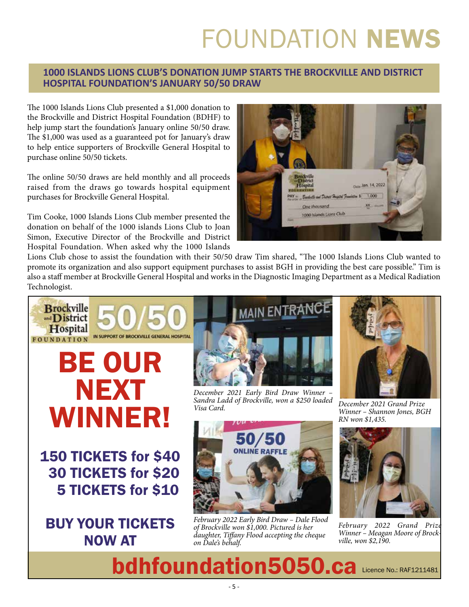# FOUNDATION NEWS

### **1000 ISLANDS LIONS CLUB'S DONATION JUMP STARTS THE BROCKVILLE AND DISTRICT HOSPITAL FOUNDATION'S JANUARY 50/50 DRAW**

The 1000 Islands Lions Club presented a \$1,000 donation to the Brockville and District Hospital Foundation (BDHF) to help jump start the foundation's January online 50/50 draw. The \$1,000 was used as a guaranteed pot for January's draw to help entice supporters of Brockville General Hospital to purchase online 50/50 tickets.

The online 50/50 draws are held monthly and all proceeds raised from the draws go towards hospital equipment purchases for Brockville General Hospital.

Tim Cooke, 1000 Islands Lions Club member presented the donation on behalf of the 1000 islands Lions Club to Joan Simon, Executive Director of the Brockville and District Hospital Foundation. When asked why the 1000 Islands



Lions Club chose to assist the foundation with their 50/50 draw Tim shared, "The 1000 Islands Lions Club wanted to promote its organization and also support equipment purchases to assist BGH in providing the best care possible." Tim is also a staff member at Brockville General Hospital and works in the Diagnostic Imaging Department as a Medical Radiation Technologist.



150 TICKETS for \$40 30 TICKETS for \$20 5 TICKETS for \$10

BUY YOUR TICKETS NOW AT



*December 2021 Early Bird Draw Winner – Sandra Ladd of Brockville, won a \$250 loaded* 



*Visa Card. December 2021 Grand Prize Winner – Shannon Jones, BGH RN won \$1,435.*



February 2022 Grand Priz *Winner – Meagan Moore of Brockville, won \$2,190.*

Licence No.: RAF1211481 bdhfoundation5050.ca

*February 2022 Early Bird Draw – Dale Flood of Brockville won \$1,000. Pictured is her daughter, Tiffany Flood accepting the cheque* 

*on Dale's behalf.*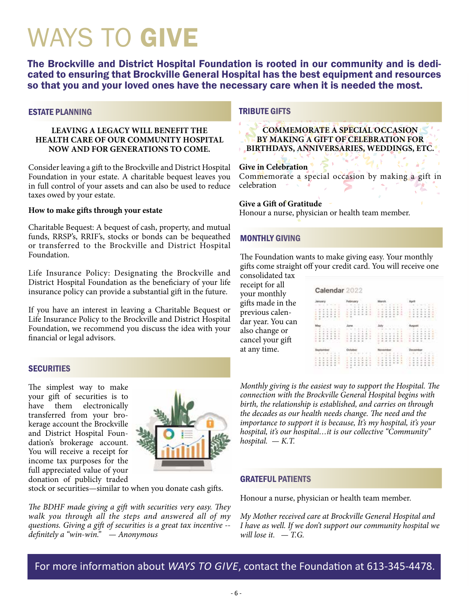## WAYS TO GIVE

The Brockville and District Hospital Foundation is rooted in our community and is dedi- cated to ensuring that Brockville General Hospital has the best equipment and resources so that you and your loved ones have the necessary care when it is needed the most.

#### ESTATE PLANNING

#### **LEAVING A LEGACY WILL BENEFIT THE HEALTH CARE OF OUR COMMUNITY HOSPITAL NOW AND FOR GENERATIONS TO COME.**

Consider leaving a gift to the Brockville and District Hospital Foundation in your estate. A charitable bequest leaves you in full control of your assets and can also be used to reduce taxes owed by your estate.

#### **How to make gifts through your estate**

Charitable Bequest: A bequest of cash, property, and mutual funds, RRSP's, RRIF's, stocks or bonds can be bequeathed or transferred to the Brockville and District Hospital Foundation.

Life Insurance Policy: Designating the Brockville and District Hospital Foundation as the beneficiary of your life insurance policy can provide a substantial gift in the future.

If you have an interest in leaving a Charitable Bequest or Life Insurance Policy to the Brockville and District Hospital Foundation, we recommend you discuss the idea with your financial or legal advisors.

### **SECURITIES**

The simplest way to make your gift of securities is to have them electronically transferred from your brokerage account the Brockville and District Hospital Foundation's brokerage account. You will receive a receipt for income tax purposes for the full appreciated value of your donation of publicly traded



stock or securities—similar to when you donate cash gifts.

*The BDHF made giving a gift with securities very easy. They walk you through all the steps and answered all of my questions. Giving a gift of securities is a great tax incentive - definitely a "win-win." — Anonymous*

### TRIBUTE GIFTS

**COMMEMORATE A SPECIAL OCCASION BY MAKING A GIFT OF CELEBRATION FOR BIRTHDAYS, ANNIVERSARIES, WEDDINGS, ETC.**

### **Give in Celebration**

Commemorate a special occasion by making a gift in celebration

#### **Give a Gift of Gratitude**

Honour a nurse, physician or health team member.

### MONTHLY GIVING

The Foundation wants to make giving easy. Your monthly gifts come straight off your credit card. You will receive one consolidated tax

receipt for all your monthly gifts made in the previous calendar year. You can also change or cancel your gift at any time.

| Calendar 2022                    |                                                   |                                                                          |                           |
|----------------------------------|---------------------------------------------------|--------------------------------------------------------------------------|---------------------------|
| --<br>٠<br>٠<br>E                |                                                   |                                                                          | ×                         |
| -<br>٠<br>٠<br>$\mathbf{r}$<br>٠ | <b>MARINA</b><br>14.41<br>179<br>۰<br>٠<br>٠<br>٠ | And in the U.S. Co., in-<br>STATISTIC<br>-<br>v a<br>$\sim$<br>x<br>- 10 | ł<br>$\scriptstyle\rm II$ |
| ٠<br><b>ALC ALC A</b><br>٠       | CAMPACKA<br>×<br>×<br>ë<br>G.                     | No. 25000000                                                             |                           |

*Monthly giving is the easiest way to support the Hospital. The connection with the Brockville General Hospital begins with birth, the relationship is established, and carries on through the decades as our health needs change. The need and the importance to support it is because, It's my hospital, it's your hospital, it's our hospital…it is our collective "Community" hospital. — K.T.*

### GRATEFUL PATIENTS

Honour a nurse, physician or health team member.

*My Mother received care at Brockville General Hospital and I have as well. If we don't support our community hospital we will lose it. — T.G.*

For more information about *WAYS TO GIVE*, contact the Foundation at 613-345-4478.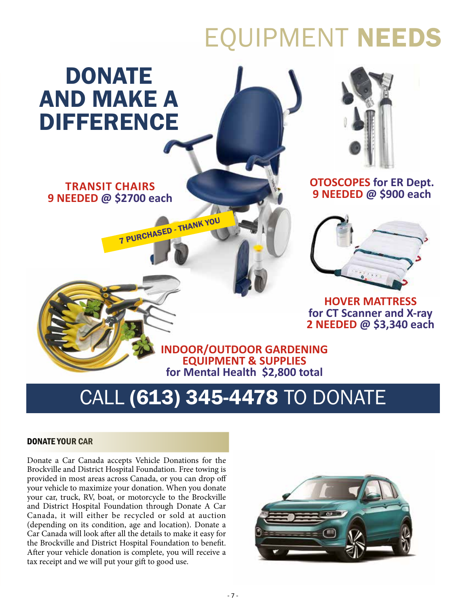# EQUIPMENT NEEDS

## DONATE AND MAKE A DIFFERENCE

### **TRANSIT CHAIRS 9 NEEDED @ \$2700 each**

7 PURCHASED - THANK YOU



### **OTOSCOPES for ER Dept. 9 NEEDED @ \$900 each**



**HOVER MATTRESS for CT Scanner and X-ray 2 NEEDED @ \$3,340 each**

**INDOOR/OUTDOOR GARDENING EQUIPMENT & SUPPLIES for Mental Health \$2,800 total**

## CALL (613) 345-4478 TO DONATE

### DONATE YOUR CAR

Donate a Car Canada accepts Vehicle Donations for the Brockville and District Hospital Foundation. Free towing is provided in most areas across Canada, or you can drop off your vehicle to maximize your donation. When you donate your car, truck, RV, boat, or motorcycle to the Brockville and District Hospital Foundation through Donate A Car Canada, it will either be recycled or sold at auction (depending on its condition, age and location). Donate a Car Canada will look after all the details to make it easy for the Brockville and District Hospital Foundation to benefit. After your vehicle donation is complete, you will receive a tax receipt and we will put your gift to good use.